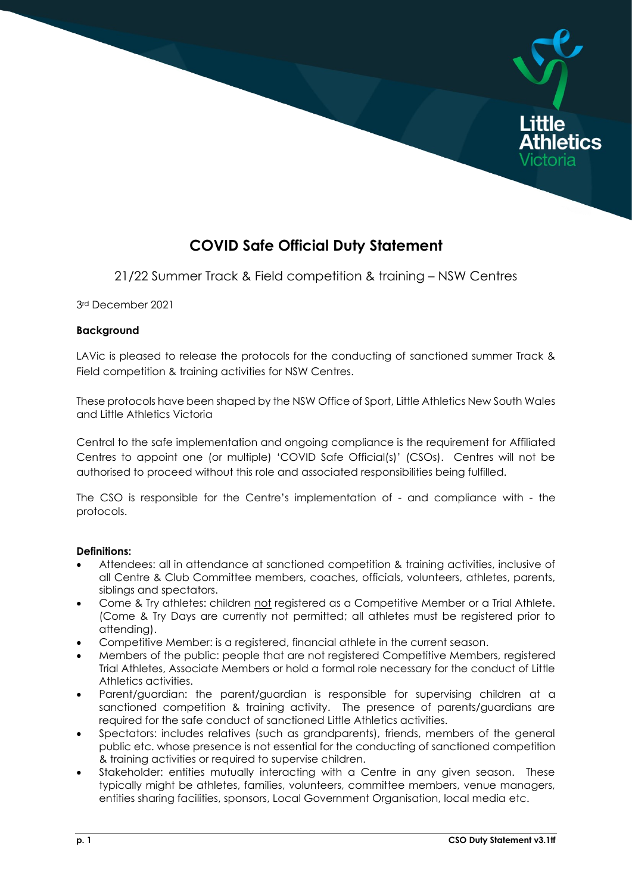

# **COVID Safe Official Duty Statement**

21/22 Summer Track & Field competition & training – NSW Centres

3rd December 2021

## **Background**

LAVic is pleased to release the protocols for the conducting of sanctioned summer Track & Field competition & training activities for NSW Centres.

These protocols have been shaped by the NSW Office of Sport, Little Athletics New South Wales and Little Athletics Victoria

Central to the safe implementation and ongoing compliance is the requirement for Affiliated Centres to appoint one (or multiple) 'COVID Safe Official(s)' (CSOs). Centres will not be authorised to proceed without this role and associated responsibilities being fulfilled.

The CSO is responsible for the Centre's implementation of - and compliance with - the protocols.

## **Definitions:**

- Attendees: all in attendance at sanctioned competition & training activities, inclusive of all Centre & Club Committee members, coaches, officials, volunteers, athletes, parents, siblings and spectators.
- Come & Try athletes: children not registered as a Competitive Member or a Trial Athlete. (Come & Try Days are currently not permitted; all athletes must be registered prior to attending).
- Competitive Member: is a registered, financial athlete in the current season.
- Members of the public: people that are not registered Competitive Members, registered Trial Athletes, Associate Members or hold a formal role necessary for the conduct of Little Athletics activities.
- Parent/guardian: the parent/guardian is responsible for supervising children at a sanctioned competition & training activity. The presence of parents/guardians are required for the safe conduct of sanctioned Little Athletics activities.
- Spectators: includes relatives (such as grandparents), friends, members of the general public etc. whose presence is not essential for the conducting of sanctioned competition & training activities or required to supervise children.
- Stakeholder: entities mutually interacting with a Centre in any given season. These typically might be athletes, families, volunteers, committee members, venue managers, entities sharing facilities, sponsors, Local Government Organisation, local media etc.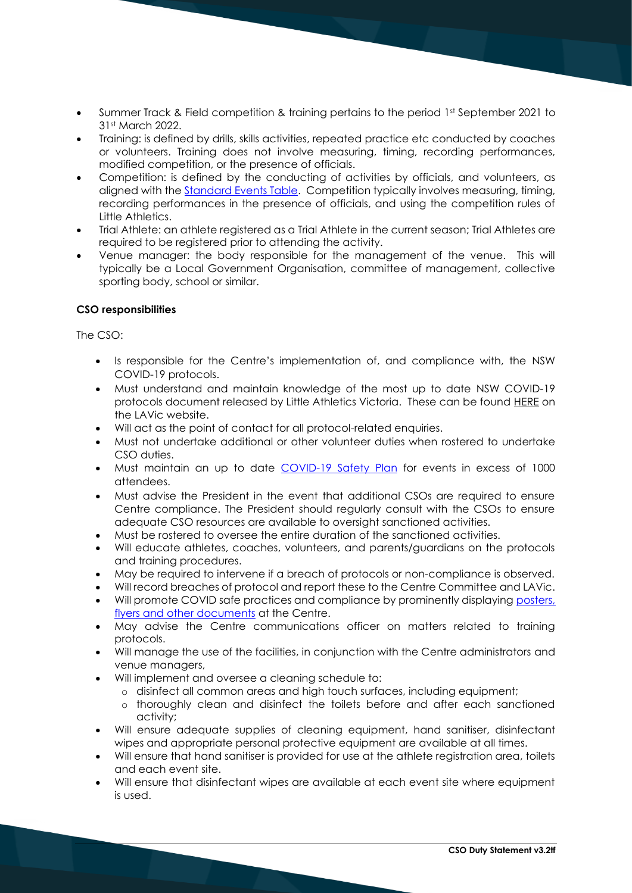- Summer Track & Field competition & training pertains to the period 1st September 2021 to 31st March 2022.
- Training: is defined by drills, skills activities, repeated practice etc conducted by coaches or volunteers. Training does not involve measuring, timing, recording performances, modified competition, or the presence of officials.
- Competition: is defined by the conducting of activities by officials, and volunteers, as aligned with th[e Standard Events Table.](https://lavic.com.au/wp-content/uploads/2020/06/Standard-Events-Table-LAVic_2021_inc-Multi-Class-XCR.pdf) Competition typically involves measuring, timing, recording performances in the presence of officials, and using the competition rules of Little Athletics.
- Trial Athlete: an athlete registered as a Trial Athlete in the current season; Trial Athletes are required to be registered prior to attending the activity.
- Venue manager: the body responsible for the management of the venue. This will typically be a Local Government Organisation, committee of management, collective sporting body, school or similar.

## **CSO responsibilities**

The  $CSO<sup>+</sup>$ 

- Is responsible for the Centre's implementation of, and compliance with, the NSW COVID-19 protocols.
- Must understand and maintain knowledge of the most up to date NSW COVID-19 protocols document released by Little Athletics Victoria. These can be found [HERE](https://lavic.com.au/covid-19/) on the LAVic website.
- Will act as the point of contact for all protocol-related enquiries.
- Must not undertake additional or other volunteer duties when rostered to undertake CSO duties.
- Must maintain an up to date [COVID-19 Safety Plan](https://www.nsw.gov.au/form/covid-safety-plan/general) for events in excess of 1000 attendees.
- Must advise the President in the event that additional CSOs are required to ensure Centre compliance. The President should regularly consult with the CSOs to ensure adequate CSO resources are available to oversight sanctioned activities.
- Must be rostered to oversee the entire duration of the sanctioned activities.
- Will educate athletes, coaches, volunteers, and parents/guardians on the protocols and training procedures.
- May be required to intervene if a breach of protocols or non-compliance is observed.
- Will record breaches of protocol and report these to the Centre Committee and LAVic.
- Will promote COVID safe practices and compliance by prominently displaying [posters,](https://www.nsw.gov.au/covid-19/business/covid-safe-business/toolkit)  [flyers and other documents](https://www.nsw.gov.au/covid-19/business/covid-safe-business/toolkit) at the Centre.
- May advise the Centre communications officer on matters related to training protocols.
- Will manage the use of the facilities, in conjunction with the Centre administrators and venue managers,
- Will implement and oversee a cleaning schedule to:
	- o disinfect all common areas and high touch surfaces, including equipment;
	- o thoroughly clean and disinfect the toilets before and after each sanctioned activity;
- Will ensure adequate supplies of cleaning equipment, hand sanitiser, disinfectant wipes and appropriate personal protective equipment are available at all times.
- Will ensure that hand sanitiser is provided for use at the athlete registration area, toilets and each event site.
- Will ensure that disinfectant wipes are available at each event site where equipment is used.